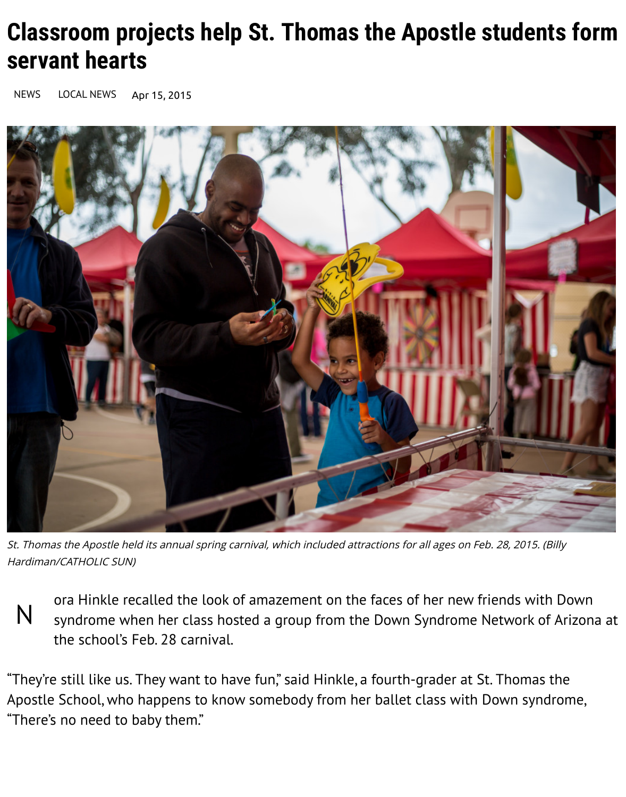## **Classroom projects help St. Thomas the Apostle students form servant hearts**

[NEWS](http://www.catholicsun.org/category/news/) [LOCAL NEWS](http://www.catholicsun.org/category/news/local/) Apr 15, 2015



St. Thomas the Apostle held its annual spring carnival, which included attractions for all ages on Feb. 28, 2015. (Billy Hardiman/CATHOLIC SUN)

N ora Hinkle recalled the look of amazement on the faces of her new friends with Down syndrome when her class hosted a group from the Down Syndrome Network of Arizona at the school's Feb. 28 carnival.

"They're still like us. They want to have fun," said Hinkle, a fourth-grader at St. Thomas the [Apostle School, who happens to know somebody from her ballet class with Down syndrom](http://staphxschool.org/)e, "There's no need to baby them."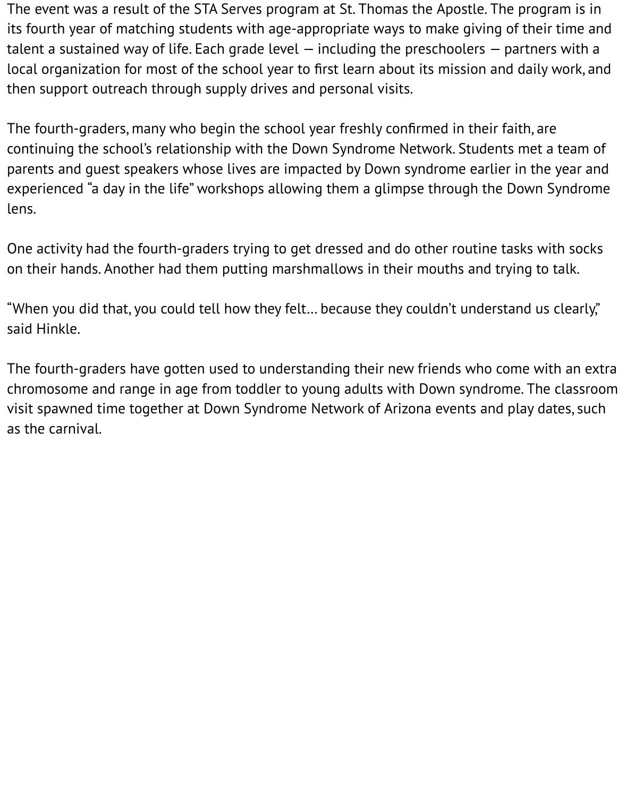The event was a result of the STA Serves program at St. Thomas the Apostle. The program is in its fourth year of matching students with age-appropriate ways to make giving of their time and talent a sustained way of life. Each grade level — including the preschoolers — partners with a local organization for most of the school year to first learn about its mission and daily work, and then support outreach through supply drives and personal visits.

The fourth-graders, many who begin the school year freshly confirmed in their faith, are continuing the school's relationship with the Down Syndrome Network. Students met a team of parents and guest speakers whose lives are impacted by Down syndrome earlier in the year and experienced "a day in the life" workshops allowing them a glimpse through the Down Syndrome lens.

One activity had the fourth-graders trying to get dressed and do other routine tasks with socks on their hands. Another had them putting marshmallows in their mouths and trying to talk.

"When you did that, you could tell how they felt… because they couldn't understand us clearly," said Hinkle.

The fourth-graders have gotten used to understanding their new friends who come with an extra chromosome and range in age from toddler to young adults with Down syndrome. The classroom visit spawned time together at Down Syndrome Network of Arizona events and play dates, such as the carnival.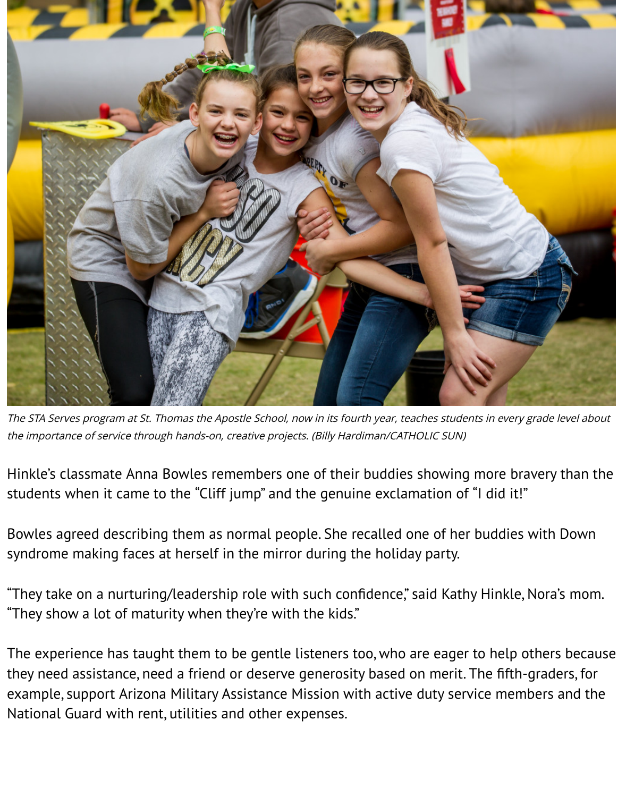

The STA Serves program at St. Thomas the Apostle School, now in its fourth year, teaches students in every grade level about the importance of service through hands-on, creative projects. (Billy Hardiman/CATHOLIC SUN)

Hinkle's classmate Anna Bowles remembers one of their buddies showing more bravery than the students when it came to the "Cliff jump" and the genuine exclamation of "I did it!"

Bowles agreed describing them as normal people. She recalled one of her buddies with Down syndrome making faces at herself in the mirror during the holiday party.

"They take on a nurturing/leadership role with such confidence," said Kathy Hinkle, Nora's mom. "They show a lot of maturity when they're with the kids."

The experience has taught them to be gentle listeners too, who are eager to help others because they need assistance, need a friend or deserve generosity based on merit. The fifth-graders, for example, support Arizona Military Assistance Mission with active duty service members and the National Guard with rent, utilities and other expenses.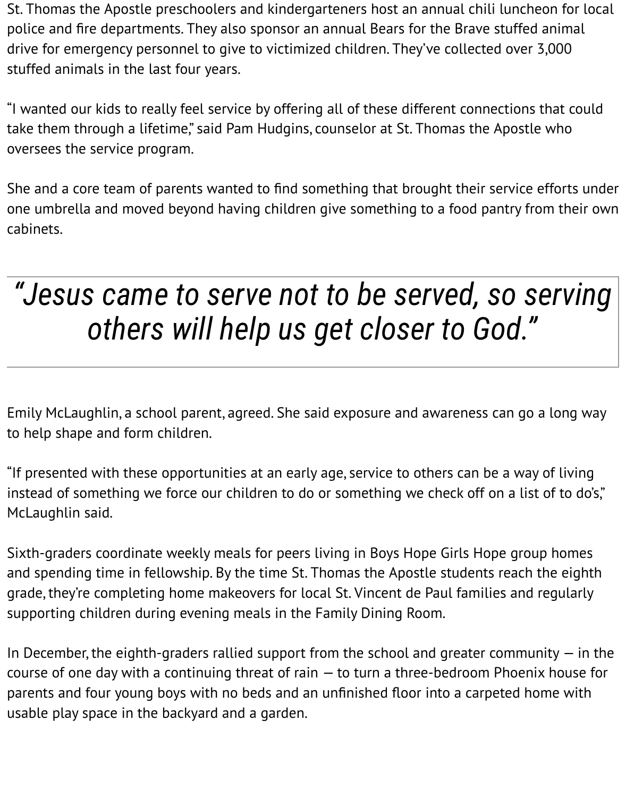St. Thomas the Apostle preschoolers and kindergarteners host an annual chili luncheon for local police and fire departments. They also sponsor an annual Bears for the Brave stuffed animal drive for emergency personnel to give to victimized children. They've collected over 3,000 stuffed animals in the last four years.

"I wanted our kids to really feel service by offering all of these different connections that could take them through a lifetime," said Pam Hudgins, counselor at St. Thomas the Apostle who oversees the service program.

She and a core team of parents wanted to find something that brought their service efforts under one umbrella and moved beyond having children give something to a food pantry from their own cabinets.

## *"Jesus came to serve not to be served, so serving others will help us get closer to God."*

Emily McLaughlin, a school parent, agreed. She said exposure and awareness can go a long way to help shape and form children.

"If presented with these opportunities at an early age, service to others can be a way of living instead of something we force our children to do or something we check off on a list of to do's," McLaughlin said.

Sixth-graders coordinate weekly meals for peers living in Boys Hope Girls Hope group homes and spending time in fellowship. By the time St. Thomas the Apostle students reach the eighth grade, they're completing home makeovers for local St. Vincent de Paul families and regularly supporting children during evening meals in the Family Dining Room.

In December, the eighth-graders rallied support from the school and greater community  $-$  in the course of one day with a continuing threat of rain — to turn a three-bedroom Phoenix house for parents and four young boys with no beds and an unfinished floor into a carpeted home with usable play space in the backyard and a garden.